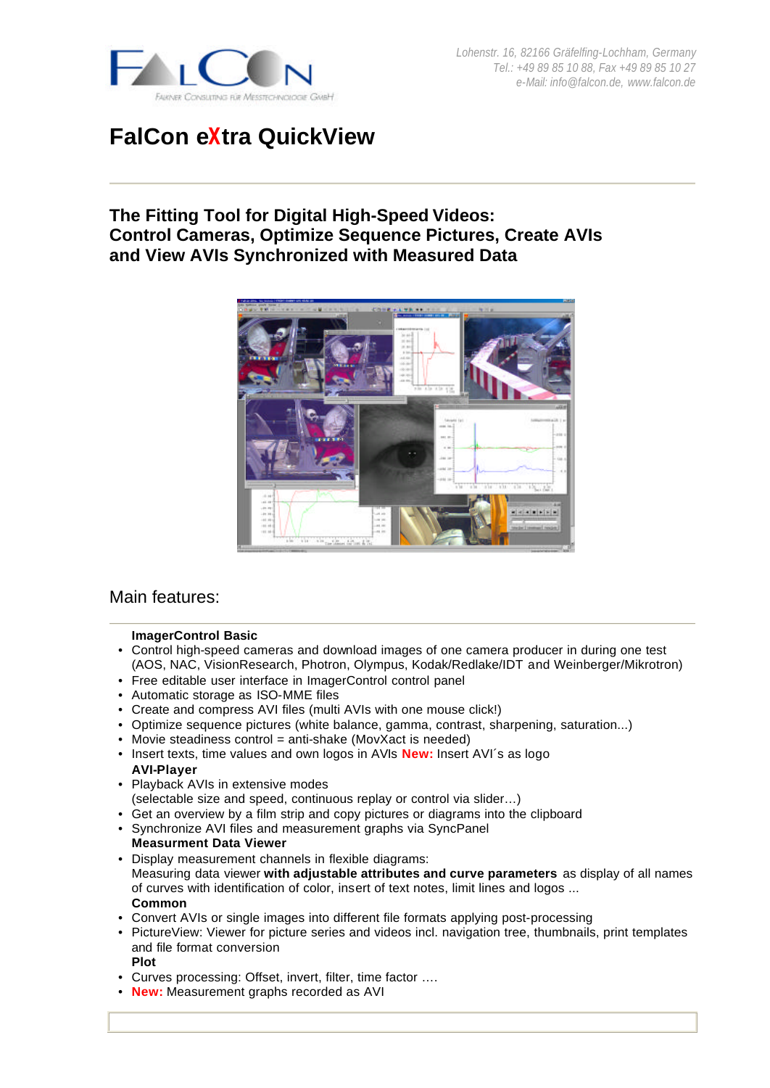

# **FalCon eXtra QuickView**

# **The Fitting Tool for Digital High-Speed Videos: Control Cameras, Optimize Sequence Pictures, Create AVIs and View AVIs Synchronized with Measured Data**



# Main features:

#### **ImagerControl Basic**

- Control high-speed cameras and download images of one camera producer in during one test (AOS, NAC, VisionResearch, Photron, Olympus, Kodak/Redlake/IDT and Weinberger/Mikrotron)
- Free editable user interface in ImagerControl control panel
- Automatic storage as ISO-MME files
- Create and compress AVI files (multi AVIs with one mouse click!)
- Optimize sequence pictures (white balance, gamma, contrast, sharpening, saturation...)
- Movie steadiness control = anti-shake (MovXact is needed)
- Insert texts, time values and own logos in AVIs **New:** Insert AVI´s as logo **AVI-Player**
- Playback AVIs in extensive modes (selectable size and speed, continuous replay or control via slider…)
- Get an overview by a film strip and copy pictures or diagrams into the clipboard
- Synchronize AVI files and measurement graphs via SyncPanel
- **Measurment Data Viewer** • Display measurement channels in flexible diagrams: Measuring data viewer **with adjustable attributes and curve parameters** as display of all names of curves with identification of color, insert of text notes, limit lines and logos ... **Common**
- Convert AVIs or single images into different file formats applying post-processing
- PictureView: Viewer for picture series and videos incl. navigation tree, thumbnails, print templates and file format conversion
- **Plot**
- Curves processing: Offset, invert, filter, time factor ….
- **New:** Measurement graphs recorded as AVI